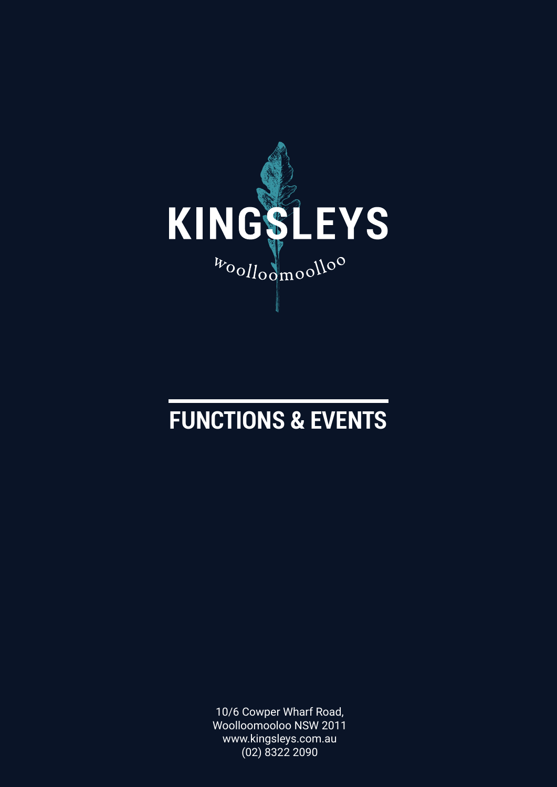

## **FUNCTIONS & EVENTS**

10/6 Cowper Wharf Road, Woolloomooloo NSW 2011 www.kingsleys.com.au (02) 8322 2090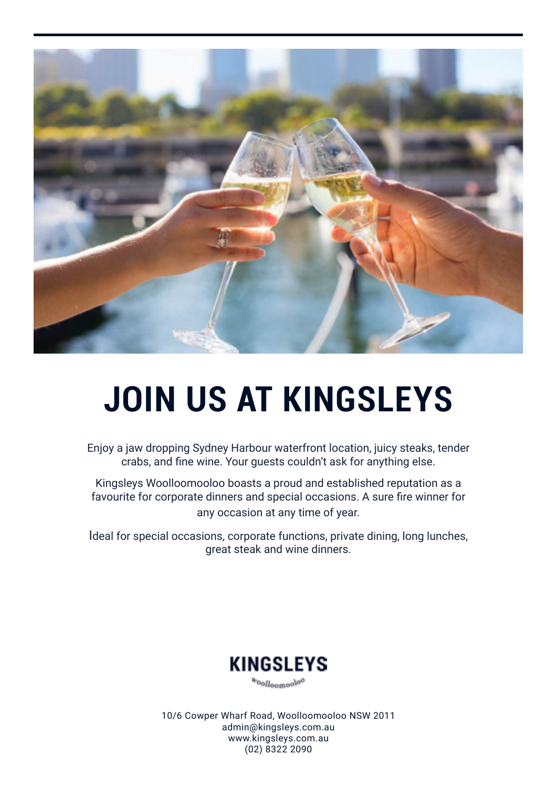

# **JOIN US AT KINGSLEYS**

Enjoy a jaw dropping Sydney Harbour waterfront location, juicy steaks, tender crabs, and fine wine. Your guests couldn't ask for anything else.

Kingsleys Woolloomooloo boasts a proud and established reputation as a favourite for corporate dinners and special occasions. A sure fire winner for any occasion at any time of year.

Ideal for special occasions, corporate functions, private dining, long lunches, great steak and wine dinners.



boolloomooloo

10/6 Cowper Wharf Road, Woolloomooloo NSW 2011 admin@kingsleys.com.au www.kingsleys.com.au (02) 8322 2090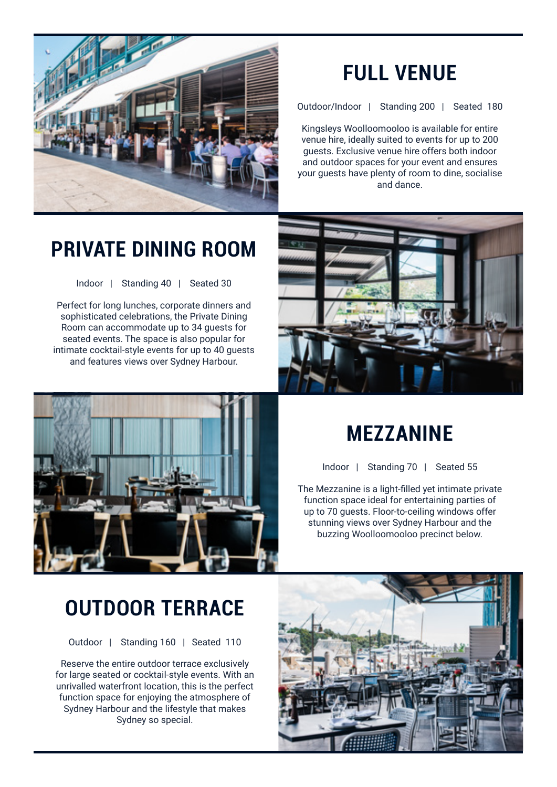

### **FULL VENUE**

Outdoor/Indoor | Standing 200 | Seated 180

Kingsleys Woolloomooloo is available for entire venue hire, ideally suited to events for up to 200 guests. Exclusive venue hire offers both indoor and outdoor spaces for your event and ensures your guests have plenty of room to dine, socialise and dance.

### **PRIVATE DINING ROOM**

Indoor | Standing 40 | Seated 30

Perfect for long lunches, corporate dinners and sophisticated celebrations, the Private Dining Room can accommodate up to 34 guests for seated events. The space is also popular for intimate cocktail-style events for up to 40 guests and features views over Sydney Harbour.





### **MEZZANINE**

Indoor | Standing 70 | Seated 55

The Mezzanine is a light-filled yet intimate private function space ideal for entertaining parties of up to 70 guests. Floor-to-ceiling windows offer stunning views over Sydney Harbour and the buzzing Woolloomooloo precinct below.

### **OUTDOOR TERRACE**

Outdoor | Standing 160 | Seated 110

Reserve the entire outdoor terrace exclusively for large seated or cocktail-style events. With an unrivalled waterfront location, this is the perfect function space for enjoying the atmosphere of Sydney Harbour and the lifestyle that makes Sydney so special.

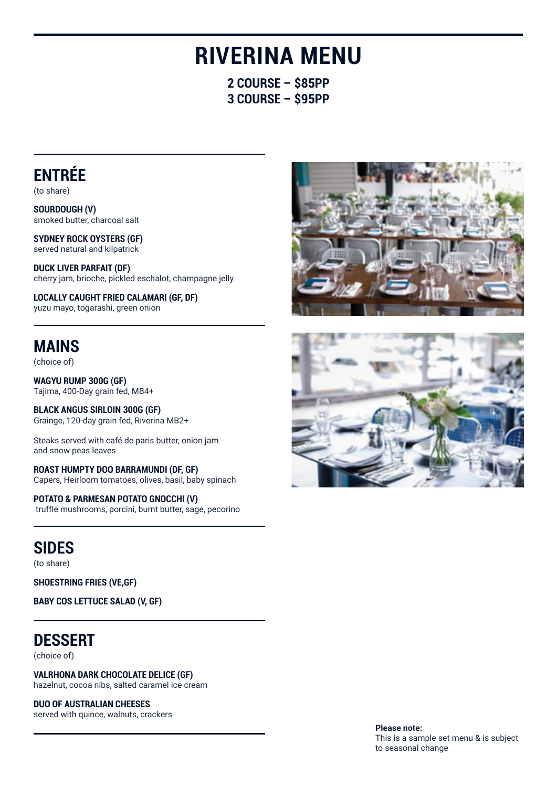## **RIVERINA MENU**

**2 COURSE – \$85PP 3 COURSE – \$95PP**

### **ENTRÉE**

(to share)

**SOURDOUGH (V)** smoked butter, charcoal salt

**SYDNEY ROCK OYSTERS (GF)** served natural and kilpatrick

**DUCK LIVER PARFAIT (DF)** cherry jam, brioche, pickled eschalot, champagne jelly

**LOCALLY CAUGHT FRIED CALAMARI (GF, DF)** yuzu mayo, togarashi, green onion

### **MAINS**

(choice of)

**WAGYU RUMP 300G (GF)** Tajima, 400-Day grain fed, MB4+

**BLACK ANGUS SIRLOIN 300G (GF)** Grainge, 120-day grain fed, Riverina MB2+

Steaks served with café de paris butter, onion jam and snow peas leaves

**ROAST HUMPTY DOO BARRAMUNDI (DF, GF)** Capers, Heirloom tomatoes, olives, basil, baby spinach

**POTATO & PARMESAN POTATO GNOCCHI (V)** truffle mushrooms, porcini, burnt butter, sage, pecorino

### **SIDES**

(to share)

**SHOESTRING FRIES (VE,GF)**

**BABY COS LETTUCE SALAD (V, GF)**

### **DESSERT**

(choice of)

**VALRHONA DARK CHOCOLATE DELICE (GF)** hazelnut, cocoa nibs, salted caramel ice cream

**DUO OF AUSTRALIAN CHEESES** 

served with quince, walnuts, crackers





**Please note:**  This is a sample set menu & is subject to seasonal change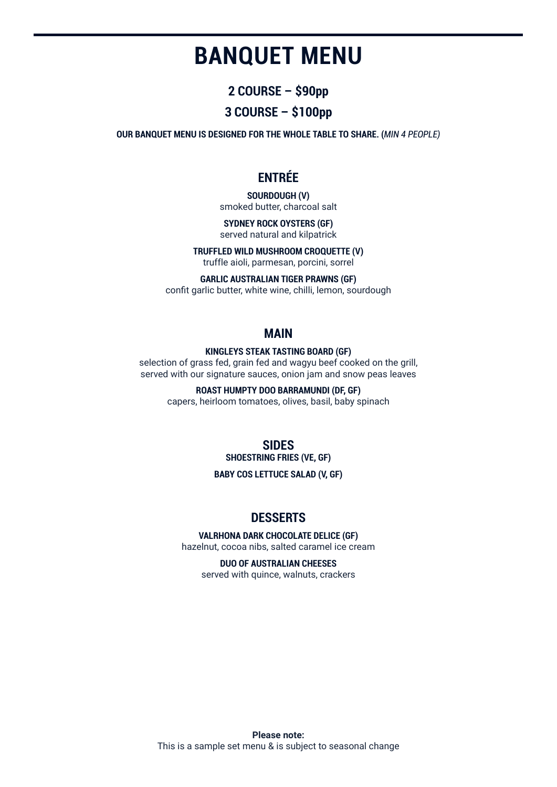## **BANQUET MENU**

#### **2 COURSE – \$90pp**

#### **3 COURSE – \$100pp**

**OUR BANQUET MENU IS DESIGNED FOR THE WHOLE TABLE TO SHARE. (***MIN 4 PEOPLE)* 

#### **ENTRÉE**

**SOURDOUGH (V)** smoked butter, charcoal salt

**SYDNEY ROCK OYSTERS (GF)** served natural and kilpatrick

**TRUFFLED WILD MUSHROOM CROQUETTE (V)**

truffle aioli, parmesan, porcini, sorrel

#### **GARLIC AUSTRALIAN TIGER PRAWNS (GF)**

confit garlic butter, white wine, chilli, lemon, sourdough

#### **MAIN**

#### **KINGLEYS STEAK TASTING BOARD (GF)**

selection of grass fed, grain fed and wagyu beef cooked on the grill, served with our signature sauces, onion jam and snow peas leaves

**ROAST HUMPTY DOO BARRAMUNDI (DF, GF)**

capers, heirloom tomatoes, olives, basil, baby spinach

#### **SIDES SHOESTRING FRIES (VE, GF)**

**BABY COS LETTUCE SALAD (V, GF)**

#### **DESSERTS**

#### **VALRHONA DARK CHOCOLATE DELICE (GF)**

hazelnut, cocoa nibs, salted caramel ice cream

**DUO OF AUSTRALIAN CHEESES** 

served with quince, walnuts, crackers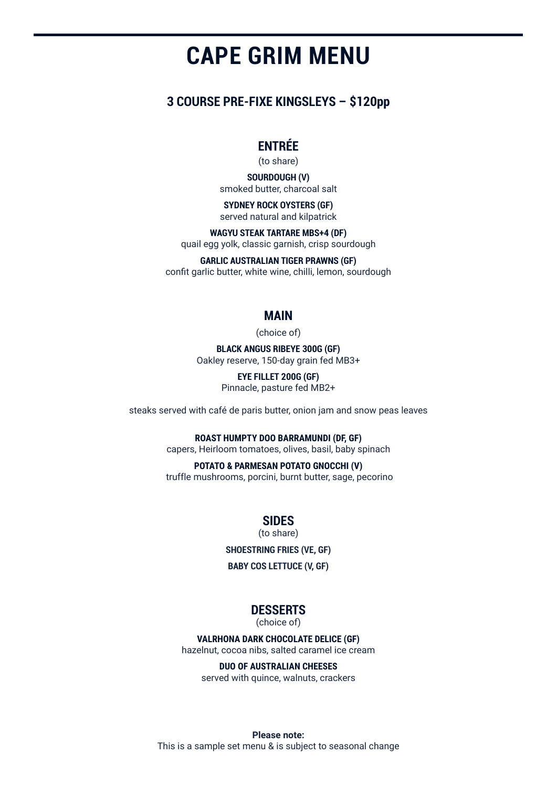## **CAPE GRIM MENU**

#### **3 COURSE PRE-FIXE KINGSLEYS – \$120pp**

#### **ENTRÉE**

(to share)

**SOURDOUGH (V)** smoked butter, charcoal salt

**SYDNEY ROCK OYSTERS (GF)** served natural and kilpatrick

**WAGYU STEAK TARTARE MBS+4 (DF)** quail egg yolk, classic garnish, crisp sourdough

**GARLIC AUSTRALIAN TIGER PRAWNS (GF)** confit garlic butter, white wine, chilli, lemon, sourdough

#### **MAIN**

(choice of)

**BLACK ANGUS RIBEYE 300G (GF)** Oakley reserve, 150-day grain fed MB3+

> **EYE FILLET 200G (GF)** Pinnacle, pasture fed MB2+

steaks served with café de paris butter, onion jam and snow peas leaves

**ROAST HUMPTY DOO BARRAMUNDI (DF, GF)**

capers, Heirloom tomatoes, olives, basil, baby spinach

**POTATO & PARMESAN POTATO GNOCCHI (V)** truffle mushrooms, porcini, burnt butter, sage, pecorino

**SIDES**

(to share)

**SHOESTRING FRIES (VE, GF)**

**BABY COS LETTUCE (V, GF)**

#### **DESSERTS**

(choice of)

**VALRHONA DARK CHOCOLATE DELICE (GF)** hazelnut, cocoa nibs, salted caramel ice cream

**DUO OF AUSTRALIAN CHEESES**  served with quince, walnuts, crackers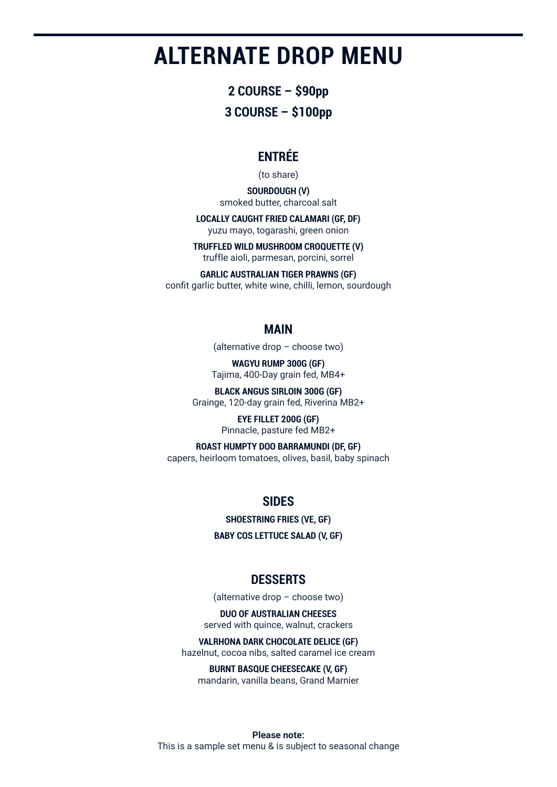## **ALTERNATE DROP MENU**

**2 COURSE – \$90pp 3 COURSE – \$100pp**

#### **ENTRÉE**

(to share)

**SOURDOUGH (V)** smoked butter, charcoal salt

**LOCALLY CAUGHT FRIED CALAMARI (GF, DF)** yuzu mayo, togarashi, green onion

**TRUFFLED WILD MUSHROOM CROQUETTE (V)** truffle aioli, parmesan, porcini, sorrel

**GARLIC AUSTRALIAN TIGER PRAWNS (GF)** confit garlic butter, white wine, chilli, lemon, sourdough

#### **MAIN**

(alternative drop – choose two)

**WAGYU RUMP 300G (GF)** Tajima, 400-Day grain fed, MB4+

**BLACK ANGUS SIRLOIN 300G (GF)** Grainge, 120-day grain fed, Riverina MB2+

> **EYE FILLET 200G (GF)** Pinnacle, pasture fed MB2+

**ROAST HUMPTY DOO BARRAMUNDI (DF, GF)** capers, heirloom tomatoes, olives, basil, baby spinach

#### **SIDES**

**SHOESTRING FRIES (VE, GF)**

**BABY COS LETTUCE SALAD (V, GF)**

#### **DESSERTS**

(alternative drop – choose two)

**DUO OF AUSTRALIAN CHEESES** served with quince, walnut, crackers

#### **VALRHONA DARK CHOCOLATE DELICE (GF)**

hazelnut, cocoa nibs, salted caramel ice cream

**BURNT BASQUE CHEESECAKE (V, GF)** mandarin, vanilla beans, Grand Marnier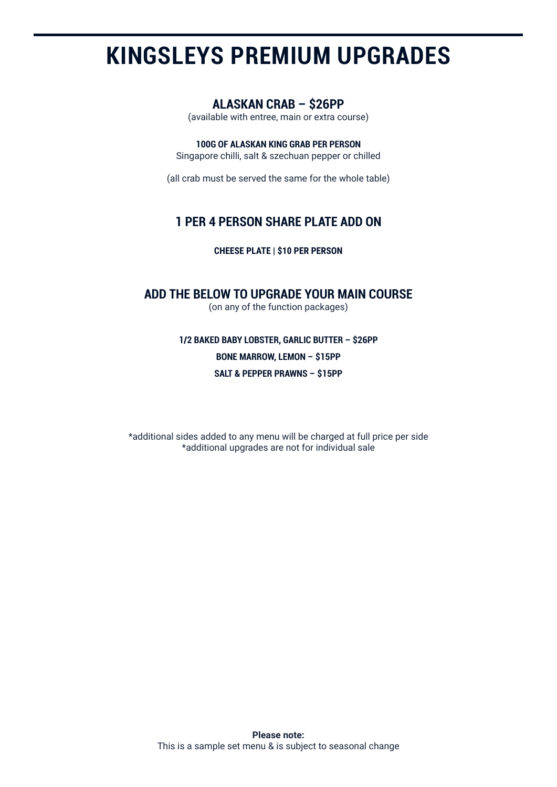## **KINGSLEYS PREMIUM UPGRADES**

#### **ALASKAN CRAB – \$26PP**

(available with entree, main or extra course)

#### **100G OF ALASKAN KING GRAB PER PERSON**

Singapore chilli, salt & szechuan pepper or chilled

(all crab must be served the same for the whole table)

#### **1 PER 4 PERSON SHARE PLATE ADD ON**

**CHEESE PLATE | \$10 PER PERSON**

#### **ADD THE BELOW TO UPGRADE YOUR MAIN COURSE**

(on any of the function packages)

**1/2 BAKED BABY LOBSTER, GARLIC BUTTER – \$26PP BONE MARROW, LEMON – \$15PP SALT & PEPPER PRAWNS – \$15PP**

\*additional sides added to any menu will be charged at full price per side \*additional upgrades are not for individual sale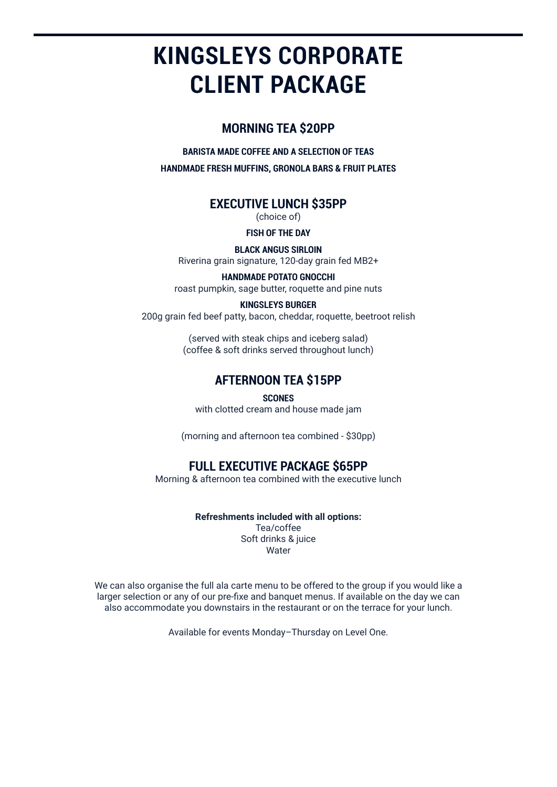## **KINGSLEYS CORPORATE CLIENT PACKAGE**

#### **MORNING TEA \$20PP**

**BARISTA MADE COFFEE AND A SELECTION OF TEAS HANDMADE FRESH MUFFINS, GRONOLA BARS & FRUIT PLATES**

#### **EXECUTIVE LUNCH \$35PP**

(choice of)

#### **FISH OF THE DAY**

**BLACK ANGUS SIRLOIN** Riverina grain signature, 120-day grain fed MB2+

**HANDMADE POTATO GNOCCHI** roast pumpkin, sage butter, roquette and pine nuts

#### **KINGSLEYS BURGER**

200g grain fed beef patty, bacon, cheddar, roquette, beetroot relish

(served with steak chips and iceberg salad) (coffee & soft drinks served throughout lunch)

#### **AFTERNOON TEA \$15PP**

#### **SCONES**

with clotted cream and house made jam

(morning and afternoon tea combined - \$30pp)

#### **FULL EXECUTIVE PACKAGE \$65PP**

Morning & afternoon tea combined with the executive lunch

#### **Refreshments included with all options:**

Tea/coffee Soft drinks & juice **Water** 

We can also organise the full ala carte menu to be offered to the group if you would like a larger selection or any of our pre-fixe and banquet menus. If available on the day we can also accommodate you downstairs in the restaurant or on the terrace for your lunch.

Available for events Monday–Thursday on Level One.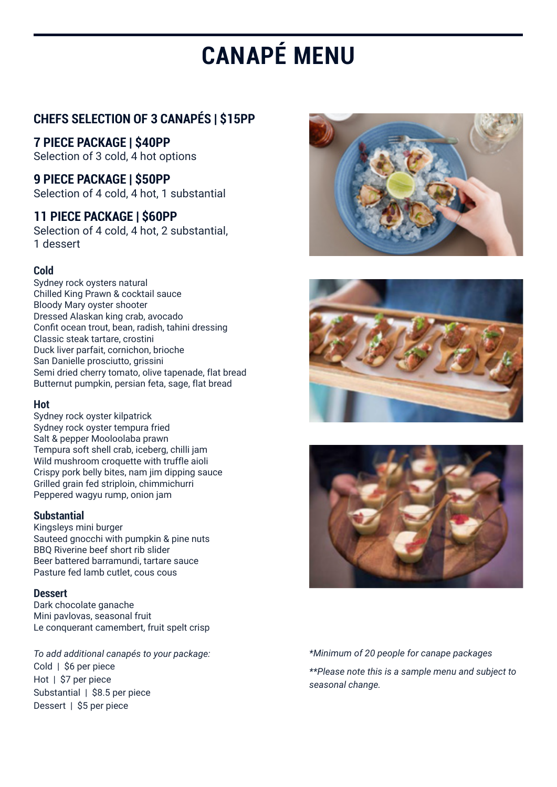# **CANAPÉ MENU**

#### **CHEFS SELECTION OF 3 CANAPÉS | \$15PP**

**7 PIECE PACKAGE | \$40PP** Selection of 3 cold, 4 hot options

**9 PIECE PACKAGE | \$50PP** Selection of 4 cold, 4 hot, 1 substantial

#### **11 PIECE PACKAGE | \$60PP**

Selection of 4 cold, 4 hot, 2 substantial, 1 dessert

#### **Cold**

Sydney rock oysters natural Chilled King Prawn & cocktail sauce Bloody Mary oyster shooter Dressed Alaskan king crab, avocado Confit ocean trout, bean, radish, tahini dressing Classic steak tartare, crostini Duck liver parfait, cornichon, brioche San Danielle prosciutto, grissini Semi dried cherry tomato, olive tapenade, flat bread Butternut pumpkin, persian feta, sage, flat bread

#### **Hot**

Sydney rock oyster kilpatrick Sydney rock oyster tempura fried Salt & pepper Mooloolaba prawn Tempura soft shell crab, iceberg, chilli jam Wild mushroom croquette with truffle aioli Crispy pork belly bites, nam jim dipping sauce Grilled grain fed striploin, chimmichurri Peppered wagyu rump, onion jam

#### **Substantial**

Kingsleys mini burger Sauteed gnocchi with pumpkin & pine nuts BBQ Riverine beef short rib slider Beer battered barramundi, tartare sauce Pasture fed lamb cutlet, cous cous

#### **Dessert**

Dark chocolate ganache Mini pavlovas, seasonal fruit Le conquerant camembert, fruit spelt crisp

*To add additional canapés to your package:* Cold | \$6 per piece Hot | \$7 per piece Substantial | \$8.5 per piece Dessert | \$5 per piece







#### *\*Minimum of 20 people for canape packages*

*\*\*Please note this is a sample menu and subject to seasonal change.*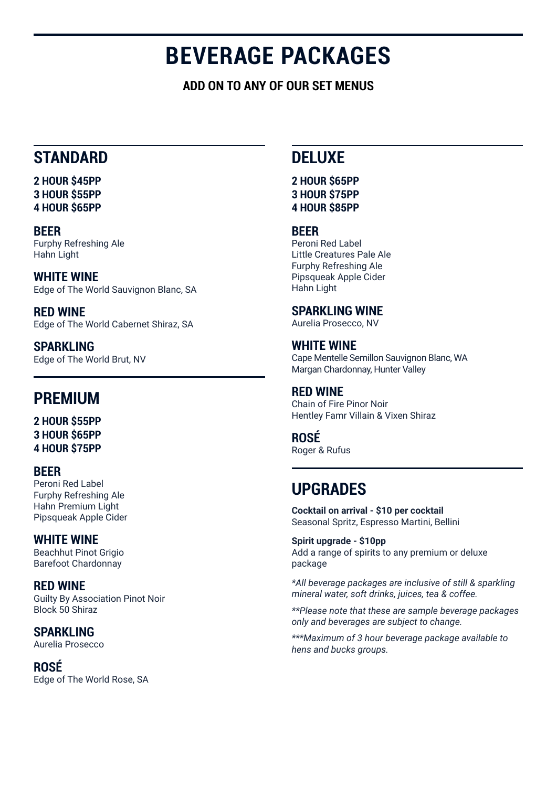## **BEVERAGE PACKAGES**

**ADD ON TO ANY OF OUR SET MENUS**

### **STANDARD**

**2 HOUR \$45PP 3 HOUR \$55PP 4 HOUR \$65PP**

**BEER** Furphy Refreshing Ale Hahn Light

**WHITE WINE** Edge of The World Sauvignon Blanc, SA

**RED WINE** Edge of The World Cabernet Shiraz, SA

**SPARKLING** Edge of The World Brut, NV

### **PREMIUM**

**2 HOUR \$55PP 3 HOUR \$65PP 4 HOUR \$75PP**

#### **BEER**

Peroni Red Label Furphy Refreshing Ale Hahn Premium Light Pipsqueak Apple Cider

#### **WHITE WINE**

Beachhut Pinot Grigio Barefoot Chardonnay

**RED WINE** Guilty By Association Pinot Noir Block 50 Shiraz

**SPARKLING** Aurelia Prosecco

**ROSÉ** Edge of The World Rose, SA

### **DELUXE**

#### **2 HOUR \$65PP 3 HOUR \$75PP 4 HOUR \$85PP**

#### **BEER**

Peroni Red Label Little Creatures Pale Ale Furphy Refreshing Ale Pipsqueak Apple Cider Hahn Light

#### **SPARKLING WINE**

Aurelia Prosecco, NV

#### **WHITE WINE**

Cape Mentelle Semillon Sauvignon Blanc, WA Margan Chardonnay, Hunter Valley

#### **RED WINE**

Chain of Fire Pinor Noir Hentley Famr Villain & Vixen Shiraz

#### **ROSÉ**

Roger & Rufus

### **UPGRADES**

**Cocktail on arrival - \$10 per cocktail** Seasonal Spritz, Espresso Martini, Bellini

**Spirit upgrade - \$10pp** Add a range of spirits to any premium or deluxe package

*\*All beverage packages are inclusive of still & sparkling mineral water, soft drinks, juices, tea & coffee.*

*\*\*Please note that these are sample beverage packages only and beverages are subject to change.*

*\*\*\*Maximum of 3 hour beverage package available to hens and bucks groups.*